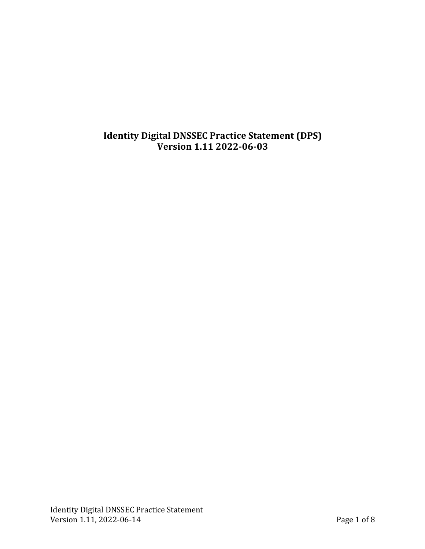# **Identity Digital DNSSEC Practice Statement (DPS) Version 1.11 2022-06-03**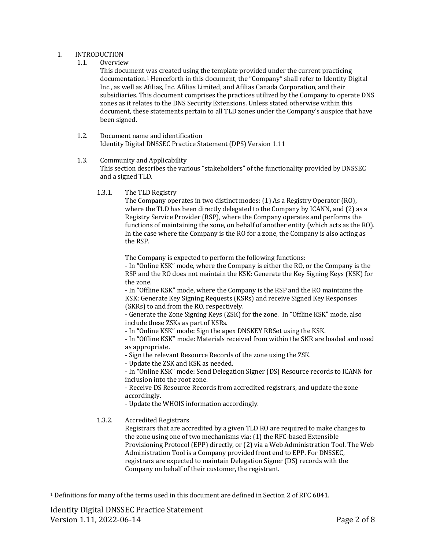#### 1. INTRODUCTION

1.1. Overview

This document was created using the template provided under the current practicing documentation.<sup>1</sup> Henceforth in this document, the "Company" shall refer to Identity Digital Inc., as well as Afilias, Inc. Afilias Limited, and Afilias Canada Corporation, and their subsidiaries. This document comprises the practices utilized by the Company to operate DNS zones as it relates to the DNS Security Extensions. Unless stated otherwise within this document, these statements pertain to all TLD zones under the Company's auspice that have been signed.

1.2. Document name and identification Identity Digital DNSSEC Practice Statement (DPS) Version 1.11

## 1.3. Community and Applicability

This section describes the various "stakeholders" of the functionality provided by DNSSEC and a signed TLD.

1.3.1. The TLD Registry

The Company operates in two distinct modes:  $(1)$  As a Registry Operator  $(RO)$ , where the TLD has been directly delegated to the Company by ICANN, and  $(2)$  as a Registry Service Provider (RSP), where the Company operates and performs the functions of maintaining the zone, on behalf of another entity (which acts as the RO). In the case where the Company is the RO for a zone, the Company is also acting as the RSP.

The Company is expected to perform the following functions:

- In "Online KSK" mode, where the Company is either the RO, or the Company is the RSP and the RO does not maintain the KSK: Generate the Key Signing Keys (KSK) for the zone.

- In "Offline KSK" mode, where the Company is the RSP and the RO maintains the KSK: Generate Key Signing Requests (KSRs) and receive Signed Key Responses (SKRs) to and from the RO, respectively.

- Generate the Zone Signing Keys (ZSK) for the zone. In "Offline KSK" mode, also include these ZSKs as part of KSRs.

- In "Online KSK" mode: Sign the apex DNSKEY RRSet using the KSK.

- In "Offline KSK" mode: Materials received from within the SKR are loaded and used as appropriate.

- Sign the relevant Resource Records of the zone using the ZSK.

- Update the ZSK and KSK as needed.

- In "Online KSK" mode: Send Delegation Signer (DS) Resource records to ICANN for inclusion into the root zone.

- Receive DS Resource Records from accredited registrars, and update the zone accordingly.

- Update the WHOIS information accordingly.

## 1.3.2. Accredited Registrars

Registrars that are accredited by a given TLD RO are required to make changes to the zone using one of two mechanisms via:  $(1)$  the RFC-based Extensible Provisioning Protocol (EPP) directly, or (2) via a Web Administration Tool. The Web Administration Tool is a Company provided front end to EPP. For DNSSEC, registrars are expected to maintain Delegation Signer (DS) records with the Company on behalf of their customer, the registrant.

 $1$  Definitions for many of the terms used in this document are defined in Section 2 of RFC 6841.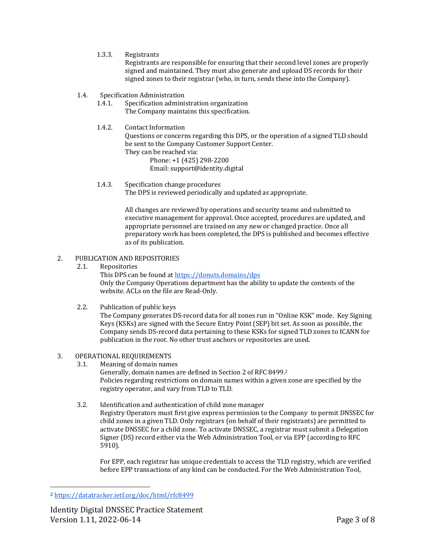1.3.3. Registrants

Registrants are responsible for ensuring that their second level zones are properly signed and maintained. They must also generate and upload DS records for their signed zones to their registrar (who, in turn, sends these into the Company).

- 1.4. Specification Administration
	- 1.4.1. Specification administration organization The Company maintains this specification.
	- 1.4.2. Contact Information

Questions or concerns regarding this DPS, or the operation of a signed TLD should be sent to the Company Customer Support Center. They can be reached via:

Phone: +1 (425) 298-2200 Email: support@identity.digital

1.4.3. Specification change procedures The DPS is reviewed periodically and updated as appropriate.

> All changes are reviewed by operations and security teams and submitted to executive management for approval. Once accepted, procedures are updated, and appropriate personnel are trained on any new or changed practice. Once all preparatory work has been completed, the DPS is published and becomes effective as of its publication.

- 2. PUBLICATION AND REPOSITORIES
	- 2.1. Repositories

This DPS can be found at https://donuts.domains/dps Only the Company Operations department has the ability to update the contents of the website. ACLs on the file are Read-Only.

2.2. Publication of public keys

The Company generates DS-record data for all zones run in "Online KSK" mode. Key Signing Keys (KSKs) are signed with the Secure Entry Point (SEP) bit set. As soon as possible, the Company sends DS-record data pertaining to these KSKs for signed TLD zones to ICANN for publication in the root. No other trust anchors or repositories are used.

- 3. OPERATIONAL REQUIREMENTS
	- 3.1. Meaning of domain names Generally, domain names are defined in Section 2 of RFC 8499.<sup>2</sup> Policies regarding restrictions on domain names within a given zone are specified by the registry operator, and vary from TLD to TLD.
	- 3.2. Identification and authentication of child zone manager Registry Operators must first give express permission to the Company to permit DNSSEC for child zones in a given TLD. Only registrars (on behalf of their registrants) are permitted to activate DNSSEC for a child zone. To activate DNSSEC, a registrar must submit a Delegation Signer (DS) record either via the Web Administration Tool, or via EPP (according to RFC 5910).

For EPP, each registrar has unique credentials to access the TLD registry, which are verified before EPP transactions of any kind can be conducted. For the Web Administration Tool,

<sup>2</sup> https://datatracker.ietf.org/doc/html/rfc8499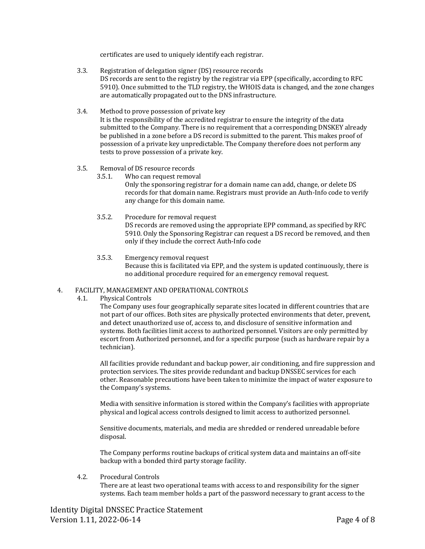certificates are used to uniquely identify each registrar.

- 3.3. Registration of delegation signer (DS) resource records DS records are sent to the registry by the registrar via EPP (specifically, according to RFC 5910). Once submitted to the TLD registry, the WHOIS data is changed, and the zone changes are automatically propagated out to the DNS infrastructure.
- 3.4. Method to prove possession of private key It is the responsibility of the accredited registrar to ensure the integrity of the data submitted to the Company. There is no requirement that a corresponding DNSKEY already be published in a zone before a DS record is submitted to the parent. This makes proof of possession of a private key unpredictable. The Company therefore does not perform any tests to prove possession of a private key.
- 3.5. Removal of DS resource records
	- 3.5.1. Who can request removal Only the sponsoring registrar for a domain name can add, change, or delete DS records for that domain name. Registrars must provide an Auth-Info code to verify any change for this domain name.
	- 3.5.2. Procedure for removal request DS records are removed using the appropriate EPP command, as specified by RFC 5910. Only the Sponsoring Registrar can request a DS record be removed, and then only if they include the correct Auth-Info code
	- 3.5.3. Emergency removal request Because this is facilitated via EPP, and the system is updated continuously, there is no additional procedure required for an emergency removal request.

## 4. FACILITY, MANAGEMENT AND OPERATIONAL CONTROLS

4.1. Physical Controls

The Company uses four geographically separate sites located in different countries that are not part of our offices. Both sites are physically protected environments that deter, prevent, and detect unauthorized use of, access to, and disclosure of sensitive information and systems. Both facilities limit access to authorized personnel. Visitors are only permitted by escort from Authorized personnel, and for a specific purpose (such as hardware repair by a technician).

All facilities provide redundant and backup power, air conditioning, and fire suppression and protection services. The sites provide redundant and backup DNSSEC services for each other. Reasonable precautions have been taken to minimize the impact of water exposure to the Company's systems.

Media with sensitive information is stored within the Company's facilities with appropriate physical and logical access controls designed to limit access to authorized personnel.

Sensitive documents, materials, and media are shredded or rendered unreadable before disposal.

The Company performs routine backups of critical system data and maintains an off-site backup with a bonded third party storage facility.

4.2. Procedural Controls

There are at least two operational teams with access to and responsibility for the signer systems. Each team member holds a part of the password necessary to grant access to the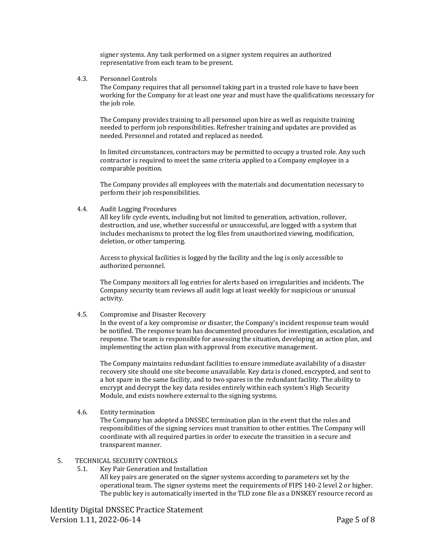signer systems. Any task performed on a signer system requires an authorized representative from each team to be present.

4.3. Personnel Controls

The Company requires that all personnel taking part in a trusted role have to have been working for the Company for at least one year and must have the qualifications necessary for the job role.

The Company provides training to all personnel upon hire as well as requisite training needed to perform job responsibilities. Refresher training and updates are provided as needed. Personnel and rotated and replaced as needed.

In limited circumstances, contractors may be permitted to occupy a trusted role. Any such contractor is required to meet the same criteria applied to a Company employee in a comparable position.

The Company provides all employees with the materials and documentation necessary to perform their job responsibilities.

4.4. Audit Logging Procedures

All key life cycle events, including but not limited to generation, activation, rollover, destruction, and use, whether successful or unsuccessful, are logged with a system that includes mechanisms to protect the log files from unauthorized viewing, modification, deletion, or other tampering.

Access to physical facilities is logged by the facility and the log is only accessible to authorized personnel.

The Company monitors all log entries for alerts based on irregularities and incidents. The Company security team reviews all audit logs at least weekly for suspicious or unusual activity.

4.5. Compromise and Disaster Recovery

In the event of a key compromise or disaster, the Company's incident response team would be notified. The response team has documented procedures for investigation, escalation, and response. The team is responsible for assessing the situation, developing an action plan, and implementing the action plan with approval from executive management.

The Company maintains redundant facilities to ensure immediate availability of a disaster recovery site should one site become unavailable. Key data is cloned, encrypted, and sent to a hot spare in the same facility, and to two spares in the redundant facility. The ability to encrypt and decrypt the key data resides entirely within each system's High Security Module, and exists nowhere external to the signing systems.

4.6. Entity termination

The Company has adopted a DNSSEC termination plan in the event that the roles and responsibilities of the signing services must transition to other entities. The Company will coordinate with all required parties in order to execute the transition in a secure and transparent manner.

#### 5. TECHNICAL SECURITY CONTROLS

5.1. Key Pair Generation and Installation All key pairs are generated on the signer systems according to parameters set by the operational team. The signer systems meet the requirements of FIPS 140-2 level 2 or higher. The public key is automatically inserted in the TLD zone file as a DNSKEY resource record as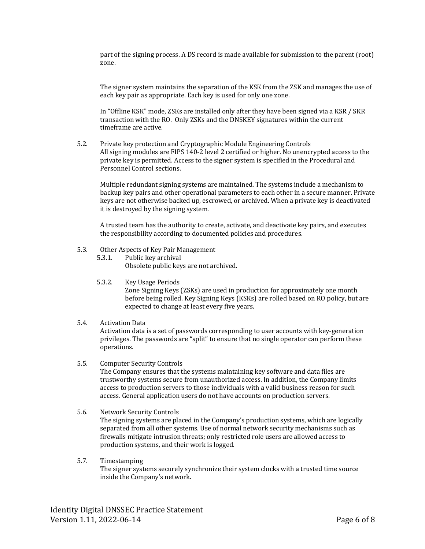part of the signing process. A DS record is made available for submission to the parent (root) zone.

The signer system maintains the separation of the KSK from the ZSK and manages the use of each key pair as appropriate. Each key is used for only one zone.

In "Offline KSK" mode, ZSKs are installed only after they have been signed via a KSR / SKR transaction with the RO. Only ZSKs and the DNSKEY signatures within the current timeframe are active.

5.2. Private key protection and Cryptographic Module Engineering Controls All signing modules are FIPS 140-2 level 2 certified or higher. No unencrypted access to the private key is permitted. Access to the signer system is specified in the Procedural and Personnel Control sections.

Multiple redundant signing systems are maintained. The systems include a mechanism to backup key pairs and other operational parameters to each other in a secure manner. Private keys are not otherwise backed up, escrowed, or archived. When a private key is deactivated it is destroyed by the signing system.

A trusted team has the authority to create, activate, and deactivate key pairs, and executes the responsibility according to documented policies and procedures.

- 5.3. Other Aspects of Key Pair Management
	- 5.3.1. Public key archival Obsolete public keys are not archived.
	- 5.3.2. Key Usage Periods

Zone Signing Keys (ZSKs) are used in production for approximately one month before being rolled. Key Signing Keys (KSKs) are rolled based on RO policy, but are expected to change at least every five years.

#### 5.4. Activation Data

Activation data is a set of passwords corresponding to user accounts with key-generation privileges. The passwords are "split" to ensure that no single operator can perform these operations.

#### 5.5. Computer Security Controls

The Company ensures that the systems maintaining key software and data files are trustworthy systems secure from unauthorized access. In addition, the Company limits access to production servers to those individuals with a valid business reason for such access. General application users do not have accounts on production servers.

5.6. Network Security Controls

The signing systems are placed in the Company's production systems, which are logically separated from all other systems. Use of normal network security mechanisms such as firewalls mitigate intrusion threats; only restricted role users are allowed access to production systems, and their work is logged.

#### 5.7. Timestamping

The signer systems securely synchronize their system clocks with a trusted time source inside the Company's network.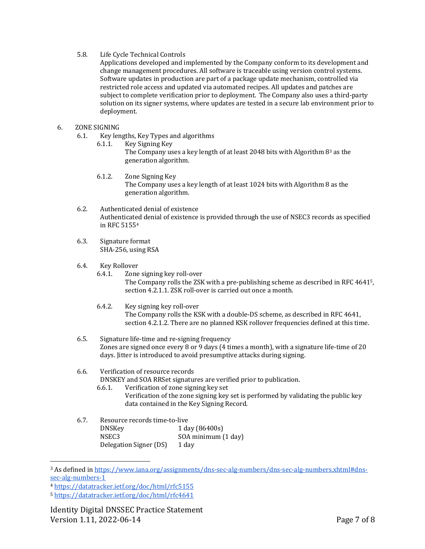#### 5.8. Life Cycle Technical Controls

Applications developed and implemented by the Company conform to its development and change management procedures. All software is traceable using version control systems. Software updates in production are part of a package update mechanism, controlled via restricted role access and updated via automated recipes. All updates and patches are subject to complete verification prior to deployment. The Company also uses a third-party solution on its signer systems, where updates are tested in a secure lab environment prior to deployment.

## 6. ZONE SIGNING

- 6.1. Key lengths, Key Types and algorithms
	- 6.1.1. Key Signing Key The Company uses a key length of at least 2048 bits with Algorithm  $8<sup>3</sup>$  as the generation algorithm.
	- 6.1.2. Zone Signing Key The Company uses a key length of at least 1024 bits with Algorithm 8 as the generation algorithm.
- 6.2. Authenticated denial of existence Authenticated denial of existence is provided through the use of NSEC3 records as specified in RFC 5155<sup>4</sup>
- 6.3. Signature format SHA-256, using RSA
- 6.4. Key Rollover

6.4.1. Zone signing key roll-over The Company rolls the ZSK with a pre-publishing scheme as described in RFC 46415, section 4.2.1.1. ZSK roll-over is carried out once a month.

- 6.4.2. Key signing key roll-over The Company rolls the KSK with a double-DS scheme, as described in RFC 4641, section 4.2.1.2. There are no planned KSK rollover frequencies defined at this time.
- 6.5. Signature life-time and re-signing frequency Zones are signed once every  $8$  or  $9$  days (4 times a month), with a signature life-time of  $20$ days. Jitter is introduced to avoid presumptive attacks during signing.

## 6.6. Verification of resource records

DNSKEY and SOA RRSet signatures are verified prior to publication.

- 6.6.1. Verification of zone signing key set Verification of the zone signing key set is performed by validating the public key data contained in the Key Signing Record.
- 6.7. Resource records time-to-live DNSKey 1 day (86400s) NSEC3 SOA minimum (1 day) Delegation Signer (DS) 1 day

<sup>&</sup>lt;sup>3</sup> As defined in https://www.iana.org/assignments/dns-sec-alg-numbers/dns-sec-alg-numbers.xhtml#dnssec-alg-numbers-1

<sup>4</sup> https://datatracker.ietf.org/doc/html/rfc5155

<sup>5</sup> https://datatracker.ietf.org/doc/html/rfc4641